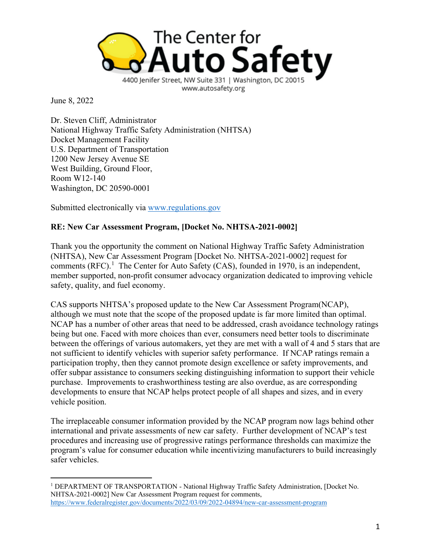

June 8, 2022

Dr. Steven Cliff, Administrator National Highway Traffic Safety Administration (NHTSA) Docket Management Facility U.S. Department of Transportation 1200 New Jersey Avenue SE West Building, Ground Floor, Room W12-140 Washington, DC 20590-0001

Submitted electronically via [www.regulations.gov](http://www.regulations.gov/)

## **RE: New Car Assessment Program, [Docket No. NHTSA-2021-0002]**

Thank you the opportunity the comment on National Highway Traffic Safety Administration (NHTSA), New Car Assessment Program [Docket No. NHTSA-2021-0002] request for comments  $(RFC)$ .<sup>[1](#page-0-0)</sup> The Center for Auto Safety (CAS), founded in 1970, is an independent, member supported, non-profit consumer advocacy organization dedicated to improving vehicle safety, quality, and fuel economy.

CAS supports NHTSA's proposed update to the New Car Assessment Program(NCAP), although we must note that the scope of the proposed update is far more limited than optimal. NCAP has a number of other areas that need to be addressed, crash avoidance technology ratings being but one. Faced with more choices than ever, consumers need better tools to discriminate between the offerings of various automakers, yet they are met with a wall of 4 and 5 stars that are not sufficient to identify vehicles with superior safety performance. If NCAP ratings remain a participation trophy, then they cannot promote design excellence or safety improvements, and offer subpar assistance to consumers seeking distinguishing information to support their vehicle purchase. Improvements to crashworthiness testing are also overdue, as are corresponding developments to ensure that NCAP helps protect people of all shapes and sizes, and in every vehicle position.

The irreplaceable consumer information provided by the NCAP program now lags behind other international and private assessments of new car safety. Further development of NCAP's test procedures and increasing use of progressive ratings performance thresholds can maximize the program's value for consumer education while incentivizing manufacturers to build increasingly safer vehicles.

<span id="page-0-0"></span><sup>&</sup>lt;sup>1</sup> DEPARTMENT OF TRANSPORTATION - National Highway Traffic Safety Administration, [Docket No. NHTSA-2021-0002] New Car Assessment Program request for comments, <https://www.federalregister.gov/documents/2022/03/09/2022-04894/new-car-assessment-program>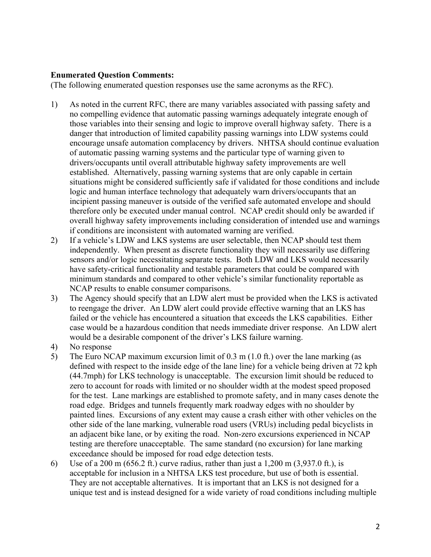## **Enumerated Question Comments:**

(The following enumerated question responses use the same acronyms as the RFC).

- 1) As noted in the current RFC, there are many variables associated with passing safety and no compelling evidence that automatic passing warnings adequately integrate enough of those variables into their sensing and logic to improve overall highway safety. There is a danger that introduction of limited capability passing warnings into LDW systems could encourage unsafe automation complacency by drivers. NHTSA should continue evaluation of automatic passing warning systems and the particular type of warning given to drivers/occupants until overall attributable highway safety improvements are well established. Alternatively, passing warning systems that are only capable in certain situations might be considered sufficiently safe if validated for those conditions and include logic and human interface technology that adequately warn drivers/occupants that an incipient passing maneuver is outside of the verified safe automated envelope and should therefore only be executed under manual control. NCAP credit should only be awarded if overall highway safety improvements including consideration of intended use and warnings if conditions are inconsistent with automated warning are verified.
- 2) If a vehicle's LDW and LKS systems are user selectable, then NCAP should test them independently. When present as discrete functionality they will necessarily use differing sensors and/or logic necessitating separate tests. Both LDW and LKS would necessarily have safety-critical functionality and testable parameters that could be compared with minimum standards and compared to other vehicle's similar functionality reportable as NCAP results to enable consumer comparisons.
- 3) The Agency should specify that an LDW alert must be provided when the LKS is activated to reengage the driver. An LDW alert could provide effective warning that an LKS has failed or the vehicle has encountered a situation that exceeds the LKS capabilities. Either case would be a hazardous condition that needs immediate driver response. An LDW alert would be a desirable component of the driver's LKS failure warning.
- 4) No response
- 5) The Euro NCAP maximum excursion limit of 0.3 m (1.0 ft.) over the lane marking (as defined with respect to the inside edge of the lane line) for a vehicle being driven at 72 kph (44.7mph) for LKS technology is unacceptable. The excursion limit should be reduced to zero to account for roads with limited or no shoulder width at the modest speed proposed for the test. Lane markings are established to promote safety, and in many cases denote the road edge. Bridges and tunnels frequently mark roadway edges with no shoulder by painted lines. Excursions of any extent may cause a crash either with other vehicles on the other side of the lane marking, vulnerable road users (VRUs) including pedal bicyclists in an adjacent bike lane, or by exiting the road. Non-zero excursions experienced in NCAP testing are therefore unacceptable. The same standard (no excursion) for lane marking exceedance should be imposed for road edge detection tests.
- 6) Use of a 200 m (656.2 ft.) curve radius, rather than just a 1,200 m (3,937.0 ft.), is acceptable for inclusion in a NHTSA LKS test procedure, but use of both is essential. They are not acceptable alternatives. It is important that an LKS is not designed for a unique test and is instead designed for a wide variety of road conditions including multiple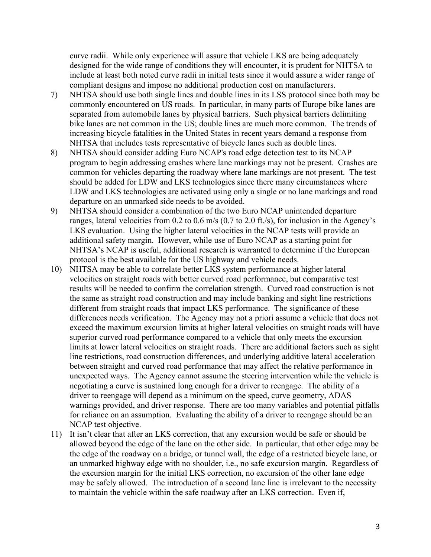curve radii. While only experience will assure that vehicle LKS are being adequately designed for the wide range of conditions they will encounter, it is prudent for NHTSA to include at least both noted curve radii in initial tests since it would assure a wider range of compliant designs and impose no additional production cost on manufacturers.

- 7) NHTSA should use both single lines and double lines in its LSS protocol since both may be commonly encountered on US roads. In particular, in many parts of Europe bike lanes are separated from automobile lanes by physical barriers. Such physical barriers delimiting bike lanes are not common in the US; double lines are much more common. The trends of increasing bicycle fatalities in the United States in recent years demand a response from NHTSA that includes tests representative of bicycle lanes such as double lines.
- 8) NHTSA should consider adding Euro NCAP's road edge detection test to its NCAP program to begin addressing crashes where lane markings may not be present. Crashes are common for vehicles departing the roadway where lane markings are not present. The test should be added for LDW and LKS technologies since there many circumstances where LDW and LKS technologies are activated using only a single or no lane markings and road departure on an unmarked side needs to be avoided.
- 9) NHTSA should consider a combination of the two Euro NCAP unintended departure ranges, lateral velocities from 0.2 to 0.6 m/s (0.7 to 2.0 ft./s), for inclusion in the Agency's LKS evaluation. Using the higher lateral velocities in the NCAP tests will provide an additional safety margin. However, while use of Euro NCAP as a starting point for NHTSA's NCAP is useful, additional research is warranted to determine if the European protocol is the best available for the US highway and vehicle needs.
- 10) NHTSA may be able to correlate better LKS system performance at higher lateral velocities on straight roads with better curved road performance, but comparative test results will be needed to confirm the correlation strength. Curved road construction is not the same as straight road construction and may include banking and sight line restrictions different from straight roads that impact LKS performance. The significance of these differences needs verification. The Agency may not a priori assume a vehicle that does not exceed the maximum excursion limits at higher lateral velocities on straight roads will have superior curved road performance compared to a vehicle that only meets the excursion limits at lower lateral velocities on straight roads. There are additional factors such as sight line restrictions, road construction differences, and underlying additive lateral acceleration between straight and curved road performance that may affect the relative performance in unexpected ways. The Agency cannot assume the steering intervention while the vehicle is negotiating a curve is sustained long enough for a driver to reengage. The ability of a driver to reengage will depend as a minimum on the speed, curve geometry, ADAS warnings provided, and driver response. There are too many variables and potential pitfalls for reliance on an assumption. Evaluating the ability of a driver to reengage should be an NCAP test objective.
- 11) It isn't clear that after an LKS correction, that any excursion would be safe or should be allowed beyond the edge of the lane on the other side. In particular, that other edge may be the edge of the roadway on a bridge, or tunnel wall, the edge of a restricted bicycle lane, or an unmarked highway edge with no shoulder, i.e., no safe excursion margin. Regardless of the excursion margin for the initial LKS correction, no excursion of the other lane edge may be safely allowed. The introduction of a second lane line is irrelevant to the necessity to maintain the vehicle within the safe roadway after an LKS correction. Even if,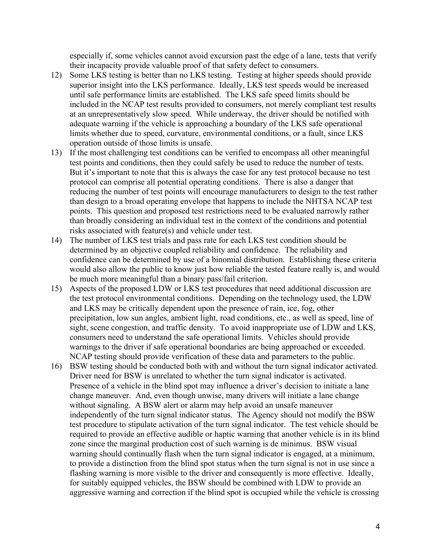especially if, some vehicles cannot avoid excursion past the edge of a lane, tests that verify their incapacity provide valuable proof of that safety defect to consumers.

- 12) Some LKS testing is better than no LKS testing. Testing at higher speeds should provide superior insight into the LKS performance. Ideally, LKS test speeds would be increased until safe performance limits are established. The LKS safe speed limits should be included in the NCAP test results provided to consumers, not merely compliant test results at an unrepresentatively slow speed. While underway, the driver should be notified with adequate warning if the vehicle is approaching a boundary of the LKS safe operational limits whether due to speed, curvature, environmental conditions, or a fault, since LKS operation outside of those limits is unsafe.
- 13) If the most challenging test conditions can be verified to encompass all other meaningful test points and conditions, then they could safely be used to reduce the number of tests. But it's important to note that this is always the case for any test protocol because no test protocol can comprise all potential operating conditions. There is also a danger that reducing the number of test points will encourage manufacturers to design to the test rather than design to a broad operating envelope that happens to include the NHTSA NCAP test points. This question and proposed test restrictions need to be evaluated narrowly rather than broadly considering an individual test in the context of the conditions and potential risks associated with feature(s) and vehicle under test.
- 14) The number of LKS test trials and pass rate for each LKS test condition should be determined by an objective coupled reliability and confidence. The reliability and confidence can be determined by use of a binomial distribution. Establishing these criteria would also allow the public to know just how reliable the tested feature really is, and would be much more meaningful than a binary pass/fail criterion.
- 15) Aspects of the proposed LDW or LKS test procedures that need additional discussion are the test protocol environmental conditions. Depending on the technology used, the LDW and LKS may be critically dependent upon the presence of rain, ice, fog, other precipitation, low sun angles, ambient light, road conditions, etc., as well as speed, line of sight, scene congestion, and traffic density. To avoid inappropriate use of LDW and LKS, consumers need to understand the safe operational limits. Vehicles should provide warnings to the driver if safe operational boundaries are being approached or exceeded. NCAP testing should provide verification of these data and parameters to the public.
- 16) BSW testing should be conducted both with and without the turn signal indicator activated. Driver need for BSW is unrelated to whether the turn signal indicator is activated. Presence of a vehicle in the blind spot may influence a driver's decision to initiate a lane change maneuver. And, even though unwise, many drivers will initiate a lane change without signaling. A BSW alert or alarm may help avoid an unsafe maneuver independently of the turn signal indicator status. The Agency should not modify the BSW test procedure to stipulate activation of the turn signal indicator. The test vehicle should be required to provide an effective audible or haptic warning that another vehicle is in its blind zone since the marginal production cost of such warning is de minimus. BSW visual warning should continually flash when the turn signal indicator is engaged, at a minimum, to provide a distinction from the blind spot status when the turn signal is not in use since a flashing warning is more visible to the driver and consequently is more effective. Ideally, for suitably equipped vehicles, the BSW should be combined with LDW to provide an aggressive warning and correction if the blind spot is occupied while the vehicle is crossing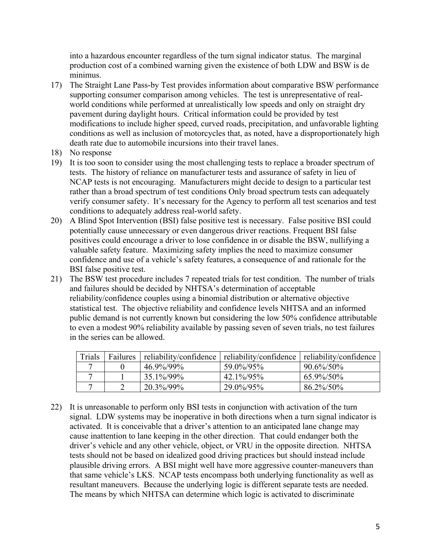into a hazardous encounter regardless of the turn signal indicator status. The marginal production cost of a combined warning given the existence of both LDW and BSW is de minimus.

- 17) The Straight Lane Pass-by Test provides information about comparative BSW performance supporting consumer comparison among vehicles. The test is unrepresentative of realworld conditions while performed at unrealistically low speeds and only on straight dry pavement during daylight hours. Critical information could be provided by test modifications to include higher speed, curved roads, precipitation, and unfavorable lighting conditions as well as inclusion of motorcycles that, as noted, have a disproportionately high death rate due to automobile incursions into their travel lanes.
- 18) No response
- 19) It is too soon to consider using the most challenging tests to replace a broader spectrum of tests. The history of reliance on manufacturer tests and assurance of safety in lieu of NCAP tests is not encouraging. Manufacturers might decide to design to a particular test rather than a broad spectrum of test conditions Only broad spectrum tests can adequately verify consumer safety. It's necessary for the Agency to perform all test scenarios and test conditions to adequately address real-world safety.
- 20) A Blind Spot Intervention (BSI) false positive test is necessary. False positive BSI could potentially cause unnecessary or even dangerous driver reactions. Frequent BSI false positives could encourage a driver to lose confidence in or disable the BSW, nullifying a valuable safety feature. Maximizing safety implies the need to maximize consumer confidence and use of a vehicle's safety features, a consequence of and rationale for the BSI false positive test.
- 21) The BSW test procedure includes 7 repeated trials for test condition. The number of trials and failures should be decided by NHTSA's determination of acceptable reliability/confidence couples using a binomial distribution or alternative objective statistical test. The objective reliability and confidence levels NHTSA and an informed public demand is not currently known but considering the low 50% confidence attributable to even a modest 90% reliability available by passing seven of seven trials, no test failures in the series can be allowed.

| Trials | <b>Failures</b> | reliability/confidence | reliability/confidence | reliability/confidence |
|--------|-----------------|------------------------|------------------------|------------------------|
|        |                 | 46.9%/99%              | 59.0%/95%              | $90.6\%/50\%$          |
|        |                 | 35.1%/99%              | 42.1%/95%              | 65.9%/50%              |
|        |                 | 20.3%/99%              | 29.0%/95%              | 86.2%/50%              |

22) It is unreasonable to perform only BSI tests in conjunction with activation of the turn signal. LDW systems may be inoperative in both directions when a turn signal indicator is activated. It is conceivable that a driver's attention to an anticipated lane change may cause inattention to lane keeping in the other direction. That could endanger both the driver's vehicle and any other vehicle, object, or VRU in the opposite direction. NHTSA tests should not be based on idealized good driving practices but should instead include plausible driving errors. A BSI might well have more aggressive counter-maneuvers than that same vehicle's LKS. NCAP tests encompass both underlying functionality as well as resultant maneuvers. Because the underlying logic is different separate tests are needed. The means by which NHTSA can determine which logic is activated to discriminate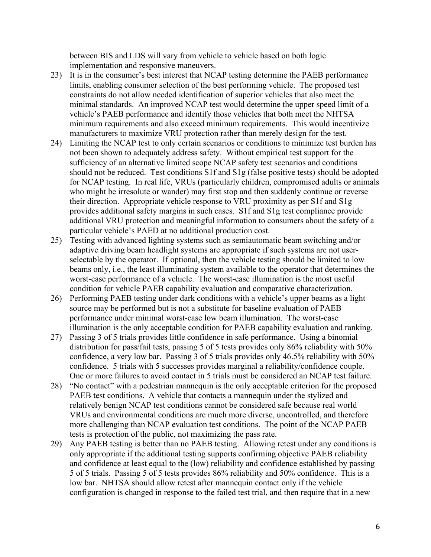between BIS and LDS will vary from vehicle to vehicle based on both logic implementation and responsive maneuvers.

- 23) It is in the consumer's best interest that NCAP testing determine the PAEB performance limits, enabling consumer selection of the best performing vehicle. The proposed test constraints do not allow needed identification of superior vehicles that also meet the minimal standards. An improved NCAP test would determine the upper speed limit of a vehicle's PAEB performance and identify those vehicles that both meet the NHTSA minimum requirements and also exceed minimum requirements. This would incentivize manufacturers to maximize VRU protection rather than merely design for the test.
- 24) Limiting the NCAP test to only certain scenarios or conditions to minimize test burden has not been shown to adequately address safety. Without empirical test support for the sufficiency of an alternative limited scope NCAP safety test scenarios and conditions should not be reduced. Test conditions S1f and S1g (false positive tests) should be adopted for NCAP testing. In real life, VRUs (particularly children, compromised adults or animals who might be irresolute or wander) may first stop and then suddenly continue or reverse their direction. Appropriate vehicle response to VRU proximity as per S1f and S1g provides additional safety margins in such cases. S1f and S1g test compliance provide additional VRU protection and meaningful information to consumers about the safety of a particular vehicle's PAED at no additional production cost.
- 25) Testing with advanced lighting systems such as semiautomatic beam switching and/or adaptive driving beam headlight systems are appropriate if such systems are not userselectable by the operator. If optional, then the vehicle testing should be limited to low beams only, i.e., the least illuminating system available to the operator that determines the worst-case performance of a vehicle. The worst-case illumination is the most useful condition for vehicle PAEB capability evaluation and comparative characterization.
- 26) Performing PAEB testing under dark conditions with a vehicle's upper beams as a light source may be performed but is not a substitute for baseline evaluation of PAEB performance under minimal worst-case low beam illumination. The worst-case illumination is the only acceptable condition for PAEB capability evaluation and ranking.
- 27) Passing 3 of 5 trials provides little confidence in safe performance. Using a binomial distribution for pass/fail tests, passing 5 of 5 tests provides only 86% reliability with 50% confidence, a very low bar. Passing 3 of 5 trials provides only 46.5% reliability with 50% confidence. 5 trials with 5 successes provides marginal a reliability/confidence couple. One or more failures to avoid contact in 5 trials must be considered an NCAP test failure.
- 28) "No contact" with a pedestrian mannequin is the only acceptable criterion for the proposed PAEB test conditions. A vehicle that contacts a mannequin under the stylized and relatively benign NCAP test conditions cannot be considered safe because real world VRUs and environmental conditions are much more diverse, uncontrolled, and therefore more challenging than NCAP evaluation test conditions. The point of the NCAP PAEB tests is protection of the public, not maximizing the pass rate.
- 29) Any PAEB testing is better than no PAEB testing. Allowing retest under any conditions is only appropriate if the additional testing supports confirming objective PAEB reliability and confidence at least equal to the (low) reliability and confidence established by passing 5 of 5 trials. Passing 5 of 5 tests provides 86% reliability and 50% confidence. This is a low bar. NHTSA should allow retest after mannequin contact only if the vehicle configuration is changed in response to the failed test trial, and then require that in a new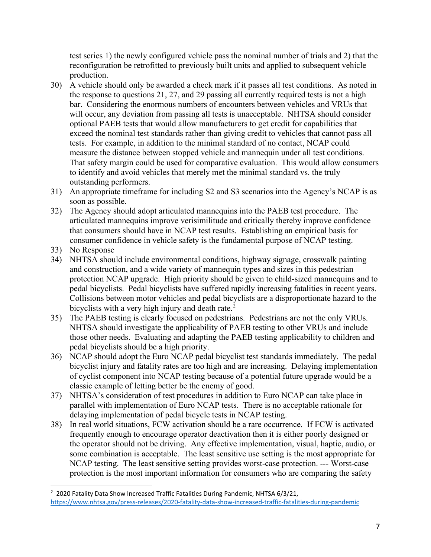test series 1) the newly configured vehicle pass the nominal number of trials and 2) that the reconfiguration be retrofitted to previously built units and applied to subsequent vehicle production.

- 30) A vehicle should only be awarded a check mark if it passes all test conditions. As noted in the response to questions 21, 27, and 29 passing all currently required tests is not a high bar. Considering the enormous numbers of encounters between vehicles and VRUs that will occur, any deviation from passing all tests is unacceptable. NHTSA should consider optional PAEB tests that would allow manufacturers to get credit for capabilities that exceed the nominal test standards rather than giving credit to vehicles that cannot pass all tests. For example, in addition to the minimal standard of no contact, NCAP could measure the distance between stopped vehicle and mannequin under all test conditions. That safety margin could be used for comparative evaluation. This would allow consumers to identify and avoid vehicles that merely met the minimal standard vs. the truly outstanding performers.
- 31) An appropriate timeframe for including S2 and S3 scenarios into the Agency's NCAP is as soon as possible.
- 32) The Agency should adopt articulated mannequins into the PAEB test procedure. The articulated mannequins improve verisimilitude and critically thereby improve confidence that consumers should have in NCAP test results. Establishing an empirical basis for consumer confidence in vehicle safety is the fundamental purpose of NCAP testing.
- 33) No Response
- 34) NHTSA should include environmental conditions, highway signage, crosswalk painting and construction, and a wide variety of mannequin types and sizes in this pedestrian protection NCAP upgrade. High priority should be given to child-sized mannequins and to pedal bicyclists. Pedal bicyclists have suffered rapidly increasing fatalities in recent years. Collisions between motor vehicles and pedal bicyclists are a disproportionate hazard to the bicyclists with a very high injury and death rate. $<sup>2</sup>$  $<sup>2</sup>$  $<sup>2</sup>$ </sup>
- 35) The PAEB testing is clearly focused on pedestrians. Pedestrians are not the only VRUs. NHTSA should investigate the applicability of PAEB testing to other VRUs and include those other needs. Evaluating and adapting the PAEB testing applicability to children and pedal bicyclists should be a high priority.
- 36) NCAP should adopt the Euro NCAP pedal bicyclist test standards immediately. The pedal bicyclist injury and fatality rates are too high and are increasing. Delaying implementation of cyclist component into NCAP testing because of a potential future upgrade would be a classic example of letting better be the enemy of good.
- 37) NHTSA's consideration of test procedures in addition to Euro NCAP can take place in parallel with implementation of Euro NCAP tests. There is no acceptable rationale for delaying implementation of pedal bicycle tests in NCAP testing.
- 38) In real world situations, FCW activation should be a rare occurrence. If FCW is activated frequently enough to encourage operator deactivation then it is either poorly designed or the operator should not be driving. Any effective implementation, visual, haptic, audio, or some combination is acceptable. The least sensitive use setting is the most appropriate for NCAP testing. The least sensitive setting provides worst-case protection. --- Worst-case protection is the most important information for consumers who are comparing the safety

<span id="page-6-0"></span><sup>&</sup>lt;sup>2</sup> 2020 Fatality Data Show Increased Traffic Fatalities During Pandemic, NHTSA 6/3/21, <https://www.nhtsa.gov/press-releases/2020-fatality-data-show-increased-traffic-fatalities-during-pandemic>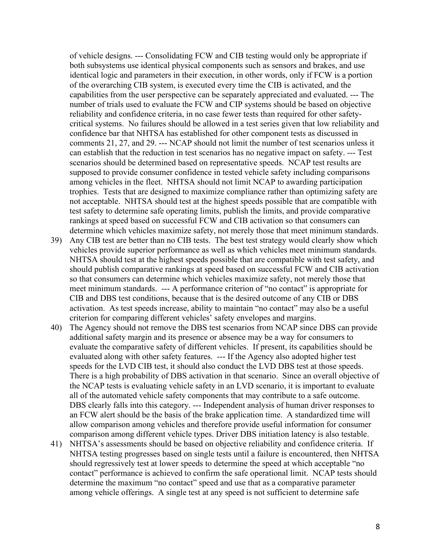of vehicle designs. --- Consolidating FCW and CIB testing would only be appropriate if both subsystems use identical physical components such as sensors and brakes, and use identical logic and parameters in their execution, in other words, only if FCW is a portion of the overarching CIB system, is executed every time the CIB is activated, and the capabilities from the user perspective can be separately appreciated and evaluated. --- The number of trials used to evaluate the FCW and CIP systems should be based on objective reliability and confidence criteria, in no case fewer tests than required for other safetycritical systems. No failures should be allowed in a test series given that low reliability and confidence bar that NHTSA has established for other component tests as discussed in comments 21, 27, and 29. --- NCAP should not limit the number of test scenarios unless it can establish that the reduction in test scenarios has no negative impact on safety. --- Test scenarios should be determined based on representative speeds. NCAP test results are supposed to provide consumer confidence in tested vehicle safety including comparisons among vehicles in the fleet. NHTSA should not limit NCAP to awarding participation trophies. Tests that are designed to maximize compliance rather than optimizing safety are not acceptable. NHTSA should test at the highest speeds possible that are compatible with test safety to determine safe operating limits, publish the limits, and provide comparative rankings at speed based on successful FCW and CIB activation so that consumers can determine which vehicles maximize safety, not merely those that meet minimum standards.

- 39) Any CIB test are better than no CIB tests. The best test strategy would clearly show which vehicles provide superior performance as well as which vehicles meet minimum standards. NHTSA should test at the highest speeds possible that are compatible with test safety, and should publish comparative rankings at speed based on successful FCW and CIB activation so that consumers can determine which vehicles maximize safety, not merely those that meet minimum standards. --- A performance criterion of "no contact" is appropriate for CIB and DBS test conditions, because that is the desired outcome of any CIB or DBS activation. As test speeds increase, ability to maintain "no contact" may also be a useful criterion for comparing different vehicles' safety envelopes and margins.
- 40) The Agency should not remove the DBS test scenarios from NCAP since DBS can provide additional safety margin and its presence or absence may be a way for consumers to evaluate the comparative safety of different vehicles. If present, its capabilities should be evaluated along with other safety features. --- If the Agency also adopted higher test speeds for the LVD CIB test, it should also conduct the LVD DBS test at those speeds. There is a high probability of DBS activation in that scenario. Since an overall objective of the NCAP tests is evaluating vehicle safety in an LVD scenario, it is important to evaluate all of the automated vehicle safety components that may contribute to a safe outcome. DBS clearly falls into this category. --- Independent analysis of human driver responses to an FCW alert should be the basis of the brake application time. A standardized time will allow comparison among vehicles and therefore provide useful information for consumer comparison among different vehicle types. Driver DBS initiation latency is also testable.
- 41) NHTSA's assessments should be based on objective reliability and confidence criteria. If NHTSA testing progresses based on single tests until a failure is encountered, then NHTSA should regressively test at lower speeds to determine the speed at which acceptable "no contact" performance is achieved to confirm the safe operational limit. NCAP tests should determine the maximum "no contact" speed and use that as a comparative parameter among vehicle offerings. A single test at any speed is not sufficient to determine safe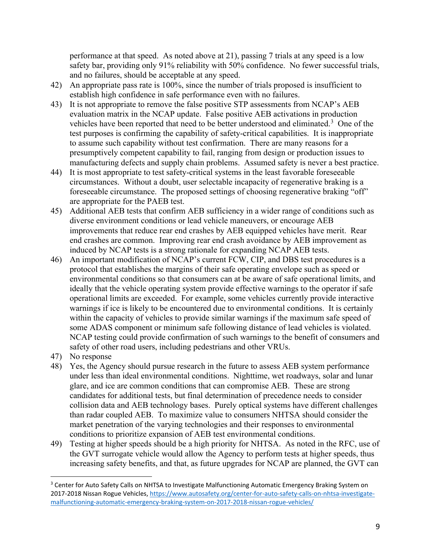performance at that speed. As noted above at 21), passing 7 trials at any speed is a low safety bar, providing only 91% reliability with 50% confidence. No fewer successful trials, and no failures, should be acceptable at any speed.

- 42) An appropriate pass rate is 100%, since the number of trials proposed is insufficient to establish high confidence in safe performance even with no failures.
- 43) It is not appropriate to remove the false positive STP assessments from NCAP's AEB evaluation matrix in the NCAP update. False positive AEB activations in production vehicles have been reported that need to be better understood and eliminated.<sup>[3](#page-8-0)</sup> One of the test purposes is confirming the capability of safety-critical capabilities. It is inappropriate to assume such capability without test confirmation. There are many reasons for a presumptively competent capability to fail, ranging from design or production issues to manufacturing defects and supply chain problems. Assumed safety is never a best practice.
- 44) It is most appropriate to test safety-critical systems in the least favorable foreseeable circumstances. Without a doubt, user selectable incapacity of regenerative braking is a foreseeable circumstance. The proposed settings of choosing regenerative braking "off" are appropriate for the PAEB test.
- 45) Additional AEB tests that confirm AEB sufficiency in a wider range of conditions such as diverse environment conditions or lead vehicle maneuvers, or encourage AEB improvements that reduce rear end crashes by AEB equipped vehicles have merit. Rear end crashes are common. Improving rear end crash avoidance by AEB improvement as induced by NCAP tests is a strong rationale for expanding NCAP AEB tests.
- 46) An important modification of NCAP's current FCW, CIP, and DBS test procedures is a protocol that establishes the margins of their safe operating envelope such as speed or environmental conditions so that consumers can at be aware of safe operational limits, and ideally that the vehicle operating system provide effective warnings to the operator if safe operational limits are exceeded. For example, some vehicles currently provide interactive warnings if ice is likely to be encountered due to environmental conditions. It is certainly within the capacity of vehicles to provide similar warnings if the maximum safe speed of some ADAS component or minimum safe following distance of lead vehicles is violated. NCAP testing could provide confirmation of such warnings to the benefit of consumers and safety of other road users, including pedestrians and other VRUs.
- 47) No response
- 48) Yes, the Agency should pursue research in the future to assess AEB system performance under less than ideal environmental conditions. Nighttime, wet roadways, solar and lunar glare, and ice are common conditions that can compromise AEB. These are strong candidates for additional tests, but final determination of precedence needs to consider collision data and AEB technology bases. Purely optical systems have different challenges than radar coupled AEB. To maximize value to consumers NHTSA should consider the market penetration of the varying technologies and their responses to environmental conditions to prioritize expansion of AEB test environmental conditions.
- 49) Testing at higher speeds should be a high priority for NHTSA. As noted in the RFC, use of the GVT surrogate vehicle would allow the Agency to perform tests at higher speeds, thus increasing safety benefits, and that, as future upgrades for NCAP are planned, the GVT can

<span id="page-8-0"></span><sup>&</sup>lt;sup>3</sup> Center for Auto Safety Calls on NHTSA to Investigate Malfunctioning Automatic Emergency Braking System on 2017-2018 Nissan Rogue Vehicles, [https://www.autosafety.org/center-for-auto-safety-calls-on-nhtsa-investigate](https://www.autosafety.org/center-for-auto-safety-calls-on-nhtsa-investigate-malfunctioning-automatic-emergency-braking-system-on-2017-2018-nissan-rogue-vehicles/)[malfunctioning-automatic-emergency-braking-system-on-2017-2018-nissan-rogue-vehicles/](https://www.autosafety.org/center-for-auto-safety-calls-on-nhtsa-investigate-malfunctioning-automatic-emergency-braking-system-on-2017-2018-nissan-rogue-vehicles/)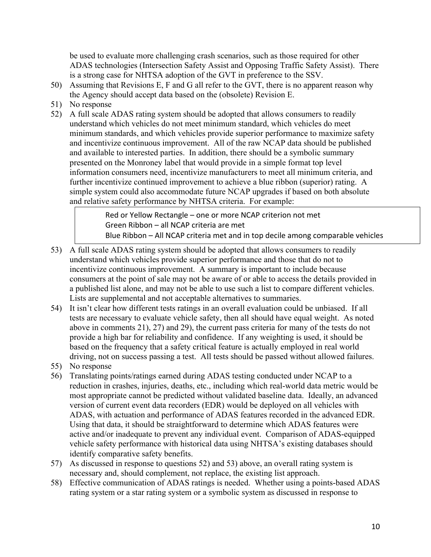be used to evaluate more challenging crash scenarios, such as those required for other ADAS technologies (Intersection Safety Assist and Opposing Traffic Safety Assist). There is a strong case for NHTSA adoption of the GVT in preference to the SSV.

- 50) Assuming that Revisions E, F and G all refer to the GVT, there is no apparent reason why the Agency should accept data based on the (obsolete) Revision E.
- 51) No response
- 52) A full scale ADAS rating system should be adopted that allows consumers to readily understand which vehicles do not meet minimum standard, which vehicles do meet minimum standards, and which vehicles provide superior performance to maximize safety and incentivize continuous improvement. All of the raw NCAP data should be published and available to interested parties. In addition, there should be a symbolic summary presented on the Monroney label that would provide in a simple format top level information consumers need, incentivize manufacturers to meet all minimum criteria, and further incentivize continued improvement to achieve a blue ribbon (superior) rating. A simple system could also accommodate future NCAP upgrades if based on both absolute and relative safety performance by NHTSA criteria. For example:

Red or Yellow Rectangle – one or more NCAP criterion not met Green Ribbon – all NCAP criteria are met Blue Ribbon – All NCAP criteria met and in top decile among comparable vehicles

- 53) A full scale ADAS rating system should be adopted that allows consumers to readily understand which vehicles provide superior performance and those that do not to incentivize continuous improvement. A summary is important to include because consumers at the point of sale may not be aware of or able to access the details provided in a published list alone, and may not be able to use such a list to compare different vehicles. Lists are supplemental and not acceptable alternatives to summaries.
- 54) It isn't clear how different tests ratings in an overall evaluation could be unbiased. If all tests are necessary to evaluate vehicle safety, then all should have equal weight. As noted above in comments 21), 27) and 29), the current pass criteria for many of the tests do not provide a high bar for reliability and confidence. If any weighting is used, it should be based on the frequency that a safety critical feature is actually employed in real world driving, not on success passing a test. All tests should be passed without allowed failures.
- 55) No response
- 56) Translating points/ratings earned during ADAS testing conducted under NCAP to a reduction in crashes, injuries, deaths, etc., including which real-world data metric would be most appropriate cannot be predicted without validated baseline data. Ideally, an advanced version of current event data recorders (EDR) would be deployed on all vehicles with ADAS, with actuation and performance of ADAS features recorded in the advanced EDR. Using that data, it should be straightforward to determine which ADAS features were active and/or inadequate to prevent any individual event. Comparison of ADAS-equipped vehicle safety performance with historical data using NHTSA's existing databases should identify comparative safety benefits.
- 57) As discussed in response to questions 52) and 53) above, an overall rating system is necessary and, should complement, not replace, the existing list approach.
- 58) Effective communication of ADAS ratings is needed. Whether using a points-based ADAS rating system or a star rating system or a symbolic system as discussed in response to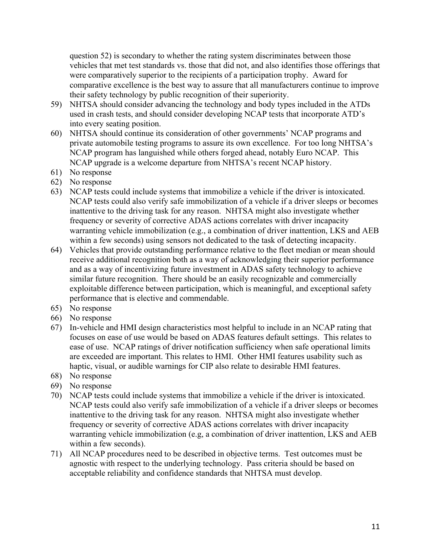question 52) is secondary to whether the rating system discriminates between those vehicles that met test standards vs. those that did not, and also identifies those offerings that were comparatively superior to the recipients of a participation trophy. Award for comparative excellence is the best way to assure that all manufacturers continue to improve their safety technology by public recognition of their superiority.

- 59) NHTSA should consider advancing the technology and body types included in the ATDs used in crash tests, and should consider developing NCAP tests that incorporate ATD's into every seating position.
- 60) NHTSA should continue its consideration of other governments' NCAP programs and private automobile testing programs to assure its own excellence. For too long NHTSA's NCAP program has languished while others forged ahead, notably Euro NCAP. This NCAP upgrade is a welcome departure from NHTSA's recent NCAP history.
- 61) No response
- 62) No response
- 63) NCAP tests could include systems that immobilize a vehicle if the driver is intoxicated. NCAP tests could also verify safe immobilization of a vehicle if a driver sleeps or becomes inattentive to the driving task for any reason. NHTSA might also investigate whether frequency or severity of corrective ADAS actions correlates with driver incapacity warranting vehicle immobilization (e.g., a combination of driver inattention, LKS and AEB within a few seconds) using sensors not dedicated to the task of detecting incapacity.
- 64) Vehicles that provide outstanding performance relative to the fleet median or mean should receive additional recognition both as a way of acknowledging their superior performance and as a way of incentivizing future investment in ADAS safety technology to achieve similar future recognition. There should be an easily recognizable and commercially exploitable difference between participation, which is meaningful, and exceptional safety performance that is elective and commendable.
- 65) No response
- 66) No response
- 67) In-vehicle and HMI design characteristics most helpful to include in an NCAP rating that focuses on ease of use would be based on ADAS features default settings. This relates to ease of use. NCAP ratings of driver notification sufficiency when safe operational limits are exceeded are important. This relates to HMI. Other HMI features usability such as haptic, visual, or audible warnings for CIP also relate to desirable HMI features.
- 68) No response
- 69) No response
- 70) NCAP tests could include systems that immobilize a vehicle if the driver is intoxicated. NCAP tests could also verify safe immobilization of a vehicle if a driver sleeps or becomes inattentive to the driving task for any reason. NHTSA might also investigate whether frequency or severity of corrective ADAS actions correlates with driver incapacity warranting vehicle immobilization (e.g, a combination of driver inattention, LKS and AEB within a few seconds).
- 71) All NCAP procedures need to be described in objective terms. Test outcomes must be agnostic with respect to the underlying technology. Pass criteria should be based on acceptable reliability and confidence standards that NHTSA must develop.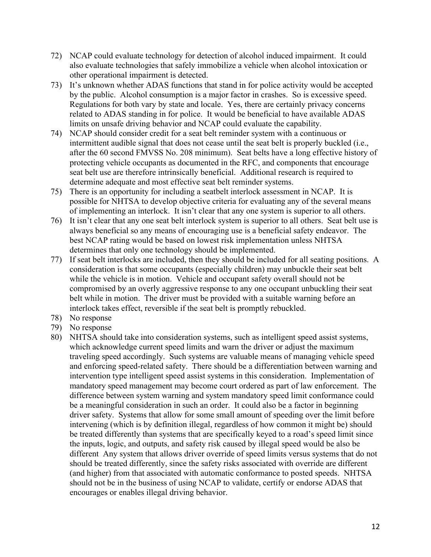- 72) NCAP could evaluate technology for detection of alcohol induced impairment. It could also evaluate technologies that safely immobilize a vehicle when alcohol intoxication or other operational impairment is detected.
- 73) It's unknown whether ADAS functions that stand in for police activity would be accepted by the public. Alcohol consumption is a major factor in crashes. So is excessive speed. Regulations for both vary by state and locale. Yes, there are certainly privacy concerns related to ADAS standing in for police. It would be beneficial to have available ADAS limits on unsafe driving behavior and NCAP could evaluate the capability.
- 74) NCAP should consider credit for a seat belt reminder system with a continuous or intermittent audible signal that does not cease until the seat belt is properly buckled (i.e., after the 60 second FMVSS No. 208 minimum). Seat belts have a long effective history of protecting vehicle occupants as documented in the RFC, and components that encourage seat belt use are therefore intrinsically beneficial. Additional research is required to determine adequate and most effective seat belt reminder systems.
- 75) There is an opportunity for including a seatbelt interlock assessment in NCAP. It is possible for NHTSA to develop objective criteria for evaluating any of the several means of implementing an interlock. It isn't clear that any one system is superior to all others.
- 76) It isn't clear that any one seat belt interlock system is superior to all others. Seat belt use is always beneficial so any means of encouraging use is a beneficial safety endeavor. The best NCAP rating would be based on lowest risk implementation unless NHTSA determines that only one technology should be implemented.
- 77) If seat belt interlocks are included, then they should be included for all seating positions. A consideration is that some occupants (especially children) may unbuckle their seat belt while the vehicle is in motion. Vehicle and occupant safety overall should not be compromised by an overly aggressive response to any one occupant unbuckling their seat belt while in motion. The driver must be provided with a suitable warning before an interlock takes effect, reversible if the seat belt is promptly rebuckled.
- 78) No response
- 79) No response
- 80) NHTSA should take into consideration systems, such as intelligent speed assist systems, which acknowledge current speed limits and warn the driver or adjust the maximum traveling speed accordingly. Such systems are valuable means of managing vehicle speed and enforcing speed-related safety. There should be a differentiation between warning and intervention type intelligent speed assist systems in this consideration. Implementation of mandatory speed management may become court ordered as part of law enforcement. The difference between system warning and system mandatory speed limit conformance could be a meaningful consideration in such an order. It could also be a factor in beginning driver safety. Systems that allow for some small amount of speeding over the limit before intervening (which is by definition illegal, regardless of how common it might be) should be treated differently than systems that are specifically keyed to a road's speed limit since the inputs, logic, and outputs, and safety risk caused by illegal speed would be also be different Any system that allows driver override of speed limits versus systems that do not should be treated differently, since the safety risks associated with override are different (and higher) from that associated with automatic conformance to posted speeds. NHTSA should not be in the business of using NCAP to validate, certify or endorse ADAS that encourages or enables illegal driving behavior.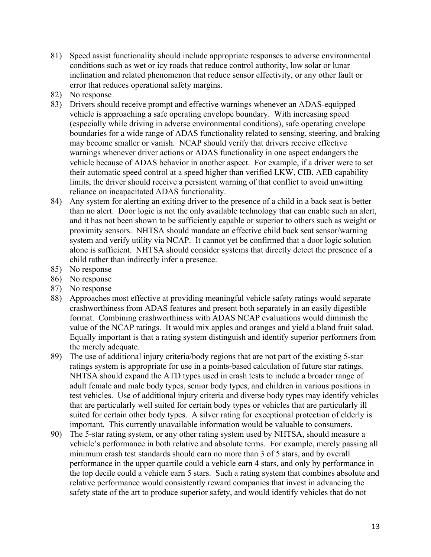- 81) Speed assist functionality should include appropriate responses to adverse environmental conditions such as wet or icy roads that reduce control authority, low solar or lunar inclination and related phenomenon that reduce sensor effectivity, or any other fault or error that reduces operational safety margins.
- 82) No response
- 83) Drivers should receive prompt and effective warnings whenever an ADAS-equipped vehicle is approaching a safe operating envelope boundary. With increasing speed (especially while driving in adverse environmental conditions), safe operating envelope boundaries for a wide range of ADAS functionality related to sensing, steering, and braking may become smaller or vanish. NCAP should verify that drivers receive effective warnings whenever driver actions or ADAS functionality in one aspect endangers the vehicle because of ADAS behavior in another aspect. For example, if a driver were to set their automatic speed control at a speed higher than verified LKW, CIB, AEB capability limits, the driver should receive a persistent warning of that conflict to avoid unwitting reliance on incapacitated ADAS functionality.
- 84) Any system for alerting an exiting driver to the presence of a child in a back seat is better than no alert. Door logic is not the only available technology that can enable such an alert, and it has not been shown to be sufficiently capable or superior to others such as weight or proximity sensors. NHTSA should mandate an effective child back seat sensor/warning system and verify utility via NCAP. It cannot yet be confirmed that a door logic solution alone is sufficient. NHTSA should consider systems that directly detect the presence of a child rather than indirectly infer a presence.
- 85) No response
- 86) No response
- 87) No response
- 88) Approaches most effective at providing meaningful vehicle safety ratings would separate crashworthiness from ADAS features and present both separately in an easily digestible format. Combining crashworthiness with ADAS NCAP evaluations would diminish the value of the NCAP ratings. It would mix apples and oranges and yield a bland fruit salad. Equally important is that a rating system distinguish and identify superior performers from the merely adequate.
- 89) The use of additional injury criteria/body regions that are not part of the existing 5-star ratings system is appropriate for use in a points-based calculation of future star ratings. NHTSA should expand the ATD types used in crash tests to include a broader range of adult female and male body types, senior body types, and children in various positions in test vehicles. Use of additional injury criteria and diverse body types may identify vehicles that are particularly well suited for certain body types or vehicles that are particularly ill suited for certain other body types. A silver rating for exceptional protection of elderly is important. This currently unavailable information would be valuable to consumers.
- 90) The 5-star rating system, or any other rating system used by NHTSA, should measure a vehicle's performance in both relative and absolute terms. For example, merely passing all minimum crash test standards should earn no more than 3 of 5 stars, and by overall performance in the upper quartile could a vehicle earn 4 stars, and only by performance in the top decile could a vehicle earn 5 stars. Such a rating system that combines absolute and relative performance would consistently reward companies that invest in advancing the safety state of the art to produce superior safety, and would identify vehicles that do not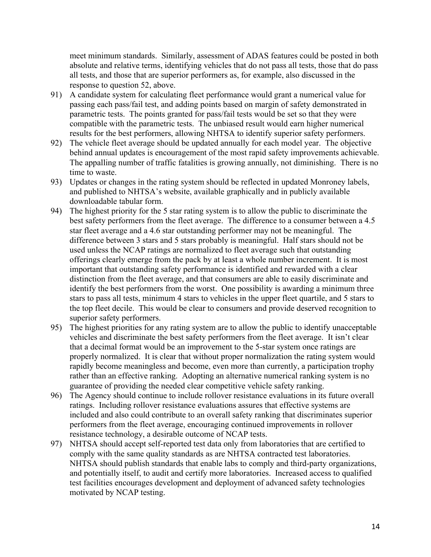meet minimum standards. Similarly, assessment of ADAS features could be posted in both absolute and relative terms, identifying vehicles that do not pass all tests, those that do pass all tests, and those that are superior performers as, for example, also discussed in the response to question 52, above.

- 91) A candidate system for calculating fleet performance would grant a numerical value for passing each pass/fail test, and adding points based on margin of safety demonstrated in parametric tests. The points granted for pass/fail tests would be set so that they were compatible with the parametric tests. The unbiased result would earn higher numerical results for the best performers, allowing NHTSA to identify superior safety performers.
- 92) The vehicle fleet average should be updated annually for each model year. The objective behind annual updates is encouragement of the most rapid safety improvements achievable. The appalling number of traffic fatalities is growing annually, not diminishing. There is no time to waste.
- 93) Updates or changes in the rating system should be reflected in updated Monroney labels, and published to NHTSA's website, available graphically and in publicly available downloadable tabular form.
- 94) The highest priority for the 5 star rating system is to allow the public to discriminate the best safety performers from the fleet average. The difference to a consumer between a 4.5 star fleet average and a 4.6 star outstanding performer may not be meaningful. The difference between 3 stars and 5 stars probably is meaningful. Half stars should not be used unless the NCAP ratings are normalized to fleet average such that outstanding offerings clearly emerge from the pack by at least a whole number increment. It is most important that outstanding safety performance is identified and rewarded with a clear distinction from the fleet average, and that consumers are able to easily discriminate and identify the best performers from the worst. One possibility is awarding a minimum three stars to pass all tests, minimum 4 stars to vehicles in the upper fleet quartile, and 5 stars to the top fleet decile. This would be clear to consumers and provide deserved recognition to superior safety performers.
- 95) The highest priorities for any rating system are to allow the public to identify unacceptable vehicles and discriminate the best safety performers from the fleet average. It isn't clear that a decimal format would be an improvement to the 5-star system once ratings are properly normalized. It is clear that without proper normalization the rating system would rapidly become meaningless and become, even more than currently, a participation trophy rather than an effective ranking. Adopting an alternative numerical ranking system is no guarantee of providing the needed clear competitive vehicle safety ranking.
- 96) The Agency should continue to include rollover resistance evaluations in its future overall ratings. Including rollover resistance evaluations assures that effective systems are included and also could contribute to an overall safety ranking that discriminates superior performers from the fleet average, encouraging continued improvements in rollover resistance technology, a desirable outcome of NCAP tests.
- 97) NHTSA should accept self-reported test data only from laboratories that are certified to comply with the same quality standards as are NHTSA contracted test laboratories. NHTSA should publish standards that enable labs to comply and third-party organizations, and potentially itself, to audit and certify more laboratories. Increased access to qualified test facilities encourages development and deployment of advanced safety technologies motivated by NCAP testing.